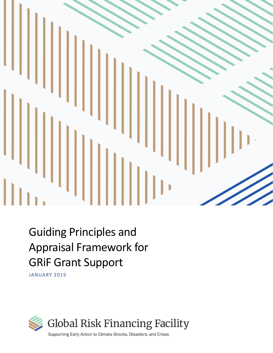

# Guiding Principles and Appraisal Framework for GRiF Grant Support

JANUARY 2019

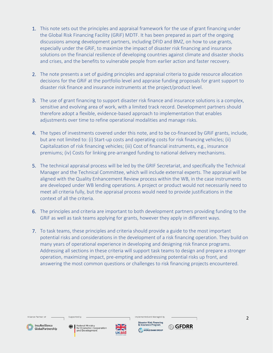- 1. This note sets out the principles and appraisal framework for the use of grant financing under the Global Risk Financing Facility (GRiF) MDTF. It has been prepared as part of the ongoing discussions among development partners, including DFID and BMZ, on how to use grants, especially under the GRiF, to maximize the impact of disaster risk financing and insurance solutions on the financial resilience of developing countries against climate and disaster shocks and crises, and the benefits to vulnerable people from earlier action and faster recovery.
- 2. The note presents a set of guiding principles and appraisal criteria to guide resource allocation decisions for the GRiF at the portfolio level and appraise funding proposals for grant support to disaster risk finance and insurance instruments at the project/product level.
- 3. The use of grant financing to support disaster risk finance and insurance solutions is a complex, sensitive and evolving area of work, with a limited track record. Development partners should therefore adopt a flexible, evidence-based approach to implementation that enables adjustments over time to refine operational modalities and manage risks.
- 4. The types of investments covered under this note, and to be co-financed by GRiF grants, include, but are not limited to: (i) Start-up costs and operating costs for risk financing vehicles; (ii) Capitalization of risk financing vehicles; (iii) Cost of financial instruments, e.g., insurance premiums; (iv) Costs for linking pre-arranged funding to national delivery mechanisms.
- 5. The technical appraisal process will be led by the GRIF Secretariat, and specifically the Technical Manager and the Technical Committee, which will include external experts. The appraisal will be aligned with the Quality Enhancement Review process within the WB, in the case instruments are developed under WB lending operations. A project or product would not necessarily need to meet all criteria fully, but the appraisal process would need to provide justifications in the context of all the criteria.
- 6. The principles and criteria are important to both development partners providing funding to the GRiF as well as task teams applying for grants, however they apply in different ways.
- 7. To task teams, these principles and criteria should provide a guide to the most important potential risks and considerations in the development of a risk financing operation. They build on many years of operational experience in developing and designing risk finance programs. Addressing all sections in these criteria will support task teams to design and prepare a stronger operation, maximizing impact, pre-empting and addressing potential risks up front, and answering the most common questions or challenges to risk financing projects encountered.

Alliance Partner of

Supported by



Federal Ministry<br>for Economic Cooperation<br>and Development



Implemented and Managed by aster Risk Financ<mark>i</mark><br>nsurance Program



2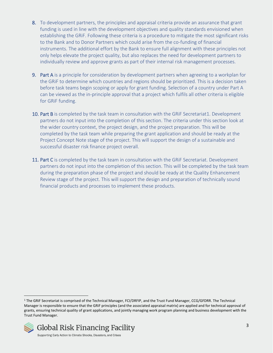- 8. To development partners, the principles and appraisal criteria provide an assurance that grant funding is used in line with the development objectives and quality standards envisioned when establishing the GRiF. Following these criteria is a procedure to mitigate the most significant risks to the Bank and to Donor Partners which could arise from the co-funding of financial instruments. The additional effort by the Bank to ensure full alignment with these principles not only helps elevate the project quality, but also replaces the need for development partners to individually review and approve grants as part of their internal risk management processes.
- 9. Part A is a principle for consideration by development partners when agreeing to a workplan for the GRiF to determine which countries and regions should be prioritized. This is a decision taken before task teams begin scoping or apply for grant funding. Selection of a country under Part A can be viewed as the in-principle approval that a project which fulfils all other criteria is eligible for GRiF funding.
- 10. Part B is completed by the task team in consultation with the GRIF Secretariat1. Development partners do not input into the completion of this section. The criteria under this section look at the wider country context, the project design, and the project preparation. This will be completed by the task team while preparing the grant application and should be ready at the Project Concept Note stage of the project. This will support the design of a sustainable and successful disaster risk finance project overall.
- 11. Part C is completed by the task team in consultation with the GRIF Secretariat. Development partners do not input into the completion of this section. This will be completed by the task team during the preparation phase of the project and should be ready at the Quality Enhancement Review stage of the project. This will support the design and preparation of technically sound financial products and processes to implement these products.

<sup>1</sup> The GRiF Secretariat is comprised of the Technical Manager, FCI/DRFIP, and the Trust Fund Manager, CCG/GFDRR. The Technical Manager is responsible to ensure that the GRiF principles (and the associated appraisal matrix) are applied and for technical approval of grants, ensuring technical quality of grant applications, and jointly managing work program planning and business development with the Trust Fund Manager.



Supporting Early Action to Climate Shocks, Disasters, and Crises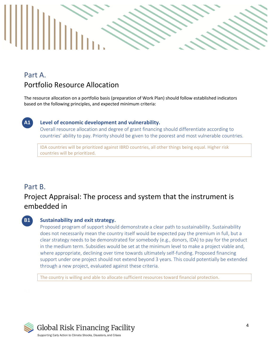

## Part A. Portfolio Resource Allocation

The resource allocation on a portfolio basis (preparation of Work Plan) should follow established indicators based on the following principles, and expected minimum criteria:



## **A1 Level of economic development and vulnerability.**

Overall resource allocation and degree of grant financing should differentiate according to countries' ability to pay. Priority should be given to the poorest and most vulnerable countries.

IDA countries will be prioritized against IBRD countries, all other things being equal. Higher risk countries will be prioritized.

## Part B. Project Appraisal: The process and system that the instrument is embedded in

## **B1 Sustainability and exit strategy.**

Proposed program of support should demonstrate a clear path to sustainability. Sustainability does not necessarily mean the country itself would be expected pay the premium in full, but a clear strategy needs to be demonstrated for somebody (e.g., donors, IDA) to pay for the product in the medium term. Subsidies would be set at the minimum level to make a project viable and, where appropriate, declining over time towards ultimately self-funding. Proposed financing support under one project should not extend beyond 3 years. This could potentially be extended through a new project, evaluated against these criteria.

The country is willing and able to allocate sufficient resources toward financial protection.

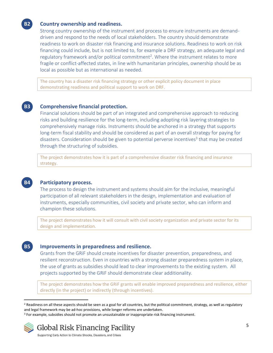### **B2 Country ownership and readiness.**

Strong country ownership of the instrument and process to ensure instruments are demanddriven and respond to the needs of local stakeholders. The country should demonstrate readiness to work on disaster risk financing and insurance solutions. Readiness to work on risk financing could include, but is not limited to, for example a DRF strategy, an adequate legal and regulatory framework and/or political commitment<sup>2</sup>. Where the instrument relates to more fragile or conflict-affected states, in line with humanitarian principles, ownership should be as local as possible but as international as needed.

The country has a disaster risk financing strategy or other explicit policy document in place demonstrating readiness and political support to work on DRF.

### **B3 Comprehensive financial protection.**

Financial solutions should be part of an integrated and comprehensive approach to reducing risks and building resilience for the long-term, including adopting risk layering strategies to comprehensively manage risks. Instruments should be anchored in a strategy that supports long-term fiscal stability and should be considered as part of an overall strategy for paying for disasters. Consideration should be given to potential perverse incentives<sup>3</sup> that may be created through the structuring of subsidies.

The project demonstrates how it is part of a comprehensive disaster risk financing and insurance strategy.



#### **B4 Participatory process.**

The process to design the instrument and systems should aim for the inclusive, meaningful participation of all relevant stakeholders in the design, implementation and evaluation of instruments, especially communities, civil society and private sector, who can inform and champion these solutions.

The project demonstrates how it will consult with civil society organization and private sector for its design and implementation.

#### **B5 Improvements in preparedness and resilience.**

Grants from the GRiF should create incentives for disaster prevention, preparedness, and resilient reconstruction. Even in countries with a strong disaster preparedness system in place, the use of grants as subsidies should lead to clear improvements to the existing system. All projects supported by the GRiF should demonstrate clear additionality.

The project demonstrates how the GRiF grants will enable improved preparedness and resilience, either directly (in the project) or indirectly (through incentives).

<sup>&</sup>lt;sup>3</sup> For example, subsidies should not promote an unsustainable or inappropriate risk financing instrument.



<sup>&</sup>lt;sup>2</sup> Readiness on all these aspects should be seen as a goal for all countries, but the political commitment, strategy, as well as regulatory and legal framework may be ad-hoc provisions, while longer reforms are undertaken.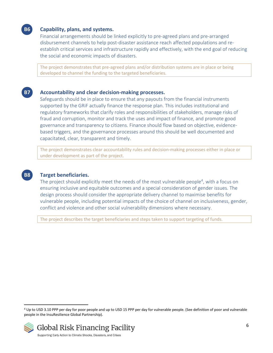## **B6 Capability, plans, and systems.**

Financial arrangements should be linked explicitly to pre-agreed plans and pre-arranged disbursement channels to help post-disaster assistance reach affected populations and reestablish critical services and infrastructure rapidly and effectively, with the end goal of reducing the social and economic impacts of disasters.

The project demonstrates that pre-agreed plans and/or distribution systems are in place or being developed to channel the funding to the targeted beneficiaries.

### **B7 Accountability and clear decision-making processes.**

Safeguards should be in place to ensure that any payouts from the financial instruments supported by the GRiF actually finance the response plan. This includes institutional and regulatory frameworks that clarify roles and responsibilities of stakeholders, manage risks of fraud and corruption, monitor and track the uses and impact of finance, and promote good governance and transparency to citizens. Finance should flow based on objective, evidencebased triggers, and the governance processes around this should be well documented and capacitated, clear, transparent and timely.

The project demonstrates clear accountability rules and decision-making processes either in place or under development as part of the project.



#### **B8 Target beneficiaries.**

The project should explicitly meet the needs of the most vulnerable people<sup>4</sup>, with a focus on ensuring inclusive and equitable outcomes and a special consideration of gender issues. The design process should consider the appropriate delivery channel to maximise benefits for vulnerable people, including potential impacts of the choice of channel on inclusiveness, gender, conflict and violence and other social vulnerability dimensions where necessary.

The project describes the target beneficiaries and steps taken to support targeting of funds.

<sup>4</sup> Up to USD 3.10 PPP per day for poor people and up to USD 15 PPP per day for vulnerable people. (See definition of poor and vulnerable people in the InsuResilience Global Partnership).



Supporting Early Action to Climate Shocks, Disasters, and Crises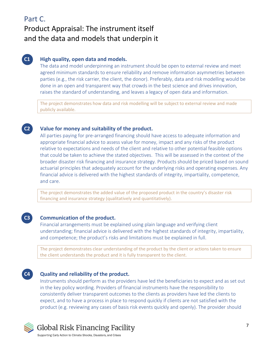## Part C.

## Product Appraisal: The instrument itself and the data and models that underpin it

## **C1 High quality, open data and models.**

The data and model underpinning an instrument should be open to external review and meet agreed minimum standards to ensure reliability and remove information asymmetries between parties (e.g., the risk carrier, the client, the donor). Preferably, data and risk modelling would be done in an open and transparent way that crowds in the best science and drives innovation, raises the standard of understanding, and leaves a legacy of open data and information.

The project demonstrates how data and risk modelling will be subject to external review and made publicly available.

## **C2 Value for money and suitability of the product.**

All parties paying for pre-arranged financing should have access to adequate information and appropriate financial advice to assess value for money, impact and any risks of the product relative to expectations and needs of the client and relative to other potential feasible options that could be taken to achieve the stated objectives. This will be assessed in the context of the broader disaster risk financing and insurance strategy. Products should be priced based on sound actuarial principles that adequately account for the underlying risks and operating expenses. Any financial advice is delivered with the highest standards of integrity, impartiality, competence, and care.

The project demonstrates the added value of the proposed product in the country's disaster risk financing and insurance strategy (qualitatively and quantitatively).

## **C3 Communication of the product.**

Financial arrangements must be explained using plain language and verifying client understanding; financial advice is delivered with the highest standards of integrity, impartiality, and competence; the product's risks and limitations must be explained in full.

The project demonstrates clear understanding of the product by the client or actions taken to ensure the client understands the product and it is fully transparent to the client.

## **C4 Quality and reliability of the product.**

Instruments should perform as the providers have led the beneficiaries to expect and as set out in the key policy wording. Providers of financial instruments have the responsibility to consistently deliver transparent outcomes to the clients as providers have led the clients to expect, and to have a process in place to respond quickly if clients are not satisfied with the product (e.g. reviewing any cases of basis risk events quickly and openly). The provider should



Global Risk Financing Facility

Supporting Early Action to Climate Shocks, Disasters, and Crises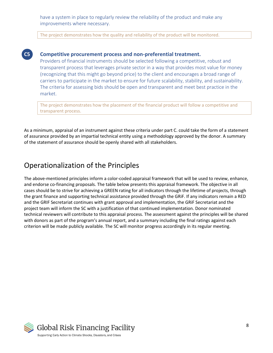have a system in place to regularly review the reliability of the product and make any improvements where necessary.

The project demonstrates how the quality and reliability of the product will be monitored.

## **C5 Competitive procurement process and non-preferential treatment.**

Providers of financial instruments should be selected following a competitive, robust and transparent process that leverages private sector in a way that provides most value for money (recognizing that this might go beyond price) to the client and encourages a broad range of carriers to participate in the market to ensure for future scalability, stability, and sustainability. The criteria for assessing bids should be open and transparent and meet best practice in the market.

The project demonstrates how the placement of the financial product will follow a competitive and transparent process.

As a minimum, appraisal of an instrument against these criteria under part C. could take the form of a statement of assurance provided by an impartial technical entity using a methodology approved by the donor. A summary of the statement of assurance should be openly shared with all stakeholders.

## Operationalization of the Principles

The above-mentioned principles inform a color-coded appraisal framework that will be used to review, enhance, and endorse co-financing proposals. The table below presents this appraisal framework. The objective in all cases should be to strive for achieving a GREEN rating for all indicators through the lifetime of projects, through the grant finance and supporting technical assistance provided through the GRiF. If any indicators remain a RED and the GRIF Secretariat continues with grant approval and implementation, the GRiF Secretariat and the project team will inform the SC with a justification of that continued implementation. Donor nominated technical reviewers will contribute to this appraisal process. The assessment against the principles will be shared with donors as part of the program's annual report, and a summary including the final ratings against each criterion will be made publicly available. The SC will monitor progress accordingly in its regular meeting.

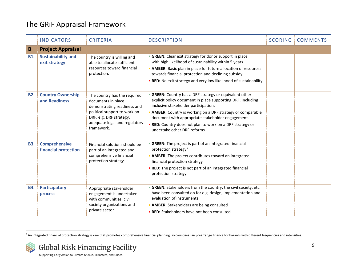## The GRiF Appraisal Framework

|            | <b>INDICATORS</b>                            | <b>CRITERIA</b>                                                                                                                                                                             | <b>DESCRIPTION</b>                                                                                                                                                                                                                                                                                                                                                              | <b>SCORING</b> | <b>COMMENTS</b> |
|------------|----------------------------------------------|---------------------------------------------------------------------------------------------------------------------------------------------------------------------------------------------|---------------------------------------------------------------------------------------------------------------------------------------------------------------------------------------------------------------------------------------------------------------------------------------------------------------------------------------------------------------------------------|----------------|-----------------|
| B          | <b>Project Appraisal</b>                     |                                                                                                                                                                                             |                                                                                                                                                                                                                                                                                                                                                                                 |                |                 |
| <b>B1.</b> | <b>Sustainability and</b><br>exit strategy   | The country is willing and<br>able to allocate sufficient<br>resources toward financial<br>protection.                                                                                      | • GREEN: Clear exit strategy for donor support in place<br>with high likelihood of sustainability within 5 years<br>• AMBER: Basic plan in place for future allocation of resources<br>towards financial protection and declining subsidy.<br>. RED: No exit strategy and very low likelihood of sustainability.                                                                |                |                 |
| <b>B2.</b> | <b>Country Ownership</b><br>and Readiness    | The country has the required<br>documents in place<br>demonstrating readiness and<br>political support to work on<br>DRF, e.g. DRF strategy,<br>adequate legal and regulatory<br>framework. | • GREEN: Country has a DRF strategy or equivalent other<br>explicit policy document in place supporting DRF, including<br>inclusive stakeholder participation.<br>• AMBER: Country is working on a DRF strategy or comparable<br>document with appropriate stakeholder engagement.<br>. RED: Country does not plan to work on a DRF strategy or<br>undertake other DRF reforms. |                |                 |
| <b>B3.</b> | <b>Comprehensive</b><br>financial protection | Financial solutions should be<br>part of an integrated and<br>comprehensive financial<br>protection strategy.                                                                               | • GREEN: The project is part of an integrated financial<br>protection strategy <sup>5</sup><br>• AMBER: The project contributes toward an integrated<br>financial protection strategy<br>• RED: The project is not part of an integrated financial<br>protection strategy.                                                                                                      |                |                 |
| <b>B4.</b> | Participatory<br>process                     | Appropriate stakeholder<br>engagement is undertaken<br>with communities, civil<br>society organizations and<br>private sector                                                               | • GREEN: Stakeholders from the country, the civil society, etc.<br>have been consulted on for e.g. design, implementation and<br>evaluation of instruments<br>• AMBER: Stakeholders are being consulted<br>• RED: Stakeholders have not been consulted.                                                                                                                         |                |                 |

<sup>5</sup> An integrated financial protection strategy is one that promotes comprehensive financial planning, so countries can prearrange finance for hazards with different frequencies and intensities.

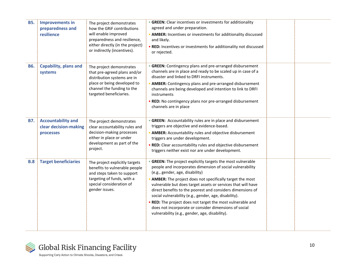| <b>B5.</b> | <b>Improvements in</b><br>preparedness and<br>resilience        | The project demonstrates<br>how the GRIF contributions<br>will enable improved<br>preparedness and resilience,<br>either directly (in the project)<br>or indirectly (incentives). | • GREEN: Clear incentives or investments for additionality<br>agreed and under preparation.<br>• AMBER: Incentives or investments for additionality discussed<br>and likely.<br>. RED: Incentives or investments for additionality not discussed<br>or rejected.                                                                                                                                                                                                                                                                                                                          |  |
|------------|-----------------------------------------------------------------|-----------------------------------------------------------------------------------------------------------------------------------------------------------------------------------|-------------------------------------------------------------------------------------------------------------------------------------------------------------------------------------------------------------------------------------------------------------------------------------------------------------------------------------------------------------------------------------------------------------------------------------------------------------------------------------------------------------------------------------------------------------------------------------------|--|
| <b>B6.</b> | <b>Capability, plans and</b><br>systems                         | The project demonstrates<br>that pre-agreed plans and/or<br>distribution systems are in<br>place or being developed to<br>channel the funding to the<br>targeted beneficiaries.   | • GREEN: Contingency plans and pre-arranged disbursement<br>channels are in place and ready to be scaled up in case of a<br>disaster and linked to DRFI instruments.<br>• AMBER: Contingency plans and pre-arranged disbursement<br>channels are being developed and intention to link to DRFI<br>instruments<br>. RED: No contingency plans nor pre-arranged disbursement<br>channels are in place                                                                                                                                                                                       |  |
| <b>B7.</b> | <b>Accountability and</b><br>clear decision-making<br>processes | The project demonstrates<br>clear accountability rules and<br>decision-making processes<br>either in place or under<br>development as part of the<br>project.                     | • GREEN: Accountability rules are in place and disbursement<br>triggers are objective and evidence-based.<br>• AMBER: Accountability rules and objective disbursement<br>triggers are under development.<br>• RED: Clear accountability rules and objective disbursement<br>triggers neither exist nor are under development.                                                                                                                                                                                                                                                             |  |
| <b>B.8</b> | <b>Target beneficiaries</b>                                     | The project explicitly targets<br>benefits to vulnerable people<br>and steps taken to support<br>targeting of funds, with a<br>special consideration of<br>gender issues.         | • GREEN: The project explicitly targets the most vulnerable<br>people and incorporates dimension of social vulnerability<br>(e.g., gender, age, disability)<br>• AMBER: The project does not specifically target the most<br>vulnerable but does target assets or services that will have<br>direct benefits to the poorest and considers dimensions of<br>social vulnerability (e.g., gender, age, disability).<br>. RED: The project does not target the most vulnerable and<br>does not incorporate or consider dimensions of social<br>vulnerability (e.g., gender, age, disability). |  |

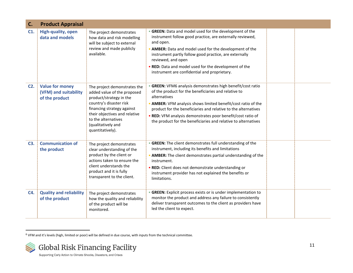| C.     | <b>Product Appraisal</b>                                          |                                                                                                                                                                                                                                                   |                                                                                                                                                                                                                                                                                                                                                                                                         |  |
|--------|-------------------------------------------------------------------|---------------------------------------------------------------------------------------------------------------------------------------------------------------------------------------------------------------------------------------------------|---------------------------------------------------------------------------------------------------------------------------------------------------------------------------------------------------------------------------------------------------------------------------------------------------------------------------------------------------------------------------------------------------------|--|
| C1.    | <b>High-quality, open</b><br>data and models                      | The project demonstrates<br>how data and risk modelling<br>will be subject to external<br>review and made publicly<br>available.                                                                                                                  | • GREEN: Data and model used for the development of the<br>instrument follow good practice, are externally reviewed,<br>and open.<br>• AMBER: Data and model used for the development of the<br>instrument partly follow good practice, are externally<br>reviewed, and open<br>. RED: Data and model used for the development of the                                                                   |  |
|        |                                                                   |                                                                                                                                                                                                                                                   | instrument are confidential and proprietary.                                                                                                                                                                                                                                                                                                                                                            |  |
| $C2$ . | <b>Value for money</b><br>(VFM) and suitability<br>of the product | The project demonstrates the<br>added value of the proposed<br>product/strategy in the<br>country's disaster risk<br>financing strategy against<br>their objectives and relative<br>to the alternatives<br>(qualitatively and<br>quantitatively). | • GREEN: VFM6 analysis demonstrates high benefit/cost ratio<br>of the product for the beneficiaries and relative to<br>alternatives<br>• AMBER: VFM analysis shows limited benefit/cost ratio of the<br>product for the beneficiaries and relative to the alternatives<br>• RED: VFM analysis demonstrates poor benefit/cost ratio of<br>the product for the beneficiaries and relative to alternatives |  |
| C3.    | <b>Communication of</b><br>the product                            | The project demonstrates<br>clear understanding of the<br>product by the client or<br>actions taken to ensure the<br>client understands the<br>product and it is fully<br>transparent to the client.                                              | • GREEN: The client demonstrates full understanding of the<br>instrument, including its benefits and limitations<br>• AMBER: The client demonstrates partial understanding of the<br>instrument.<br>. RED: Client does not demonstrate understanding or<br>instrument provider has not explained the benefits or<br>limitations.                                                                        |  |
| C4.    | <b>Quality and reliability</b><br>of the product                  | The project demonstrates<br>how the quality and reliability<br>of the product will be<br>monitored.                                                                                                                                               | • GREEN: Explicit process exists or is under implementation to<br>monitor the product and address any failure to consistently<br>deliver transparent outcomes to the client as providers have<br>led the client to expect.                                                                                                                                                                              |  |

 $6$  VFM and it's levels (high, limited or poor) will be defined in due course, with inputs from the technical committee.